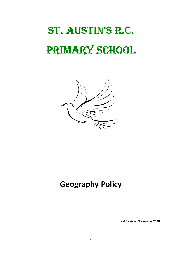# St. AuStin'S R.C. PRIMARY SCHOOL



# Geography Policy

Last Review: November 2020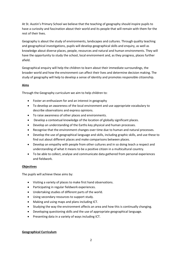At St. Austin's Primary School we believe that the teaching of geography should inspire pupils to have a curiosity and fascination about their world and its people that will remain with them for the rest of their lives.

Geography is about the study of environments, landscapes and cultures. Through quality teaching and geographical investigations, pupils will develop geographical skills and enquiry, as well as knowledge about diverse places, people, resources and natural and human environments. They will have the opportunity to study the school, local environment and, as they progress, places further afield.

Geographical enquiry will help the children to learn about their immediate surroundings, the broader world and how the environment can affect their lives and determine decision making. The study of geography will help to develop a sense of identity and promotes responsible citizenship.

# Aims

Through the Geography curriculum we aim to help children to:

- Foster an enthusiasm for and an interest in geography
- To develop an awareness of the local environment and use appropriate vocabulary to describe observations and express opinions.
- To raise awareness of other places and environments.
- Develop a contextual knowledge of the location of globally significant places.
- Develop an understanding of the Earths key physical and human processes.
- Recognise that the environment changes over time due to human and natural processes.
- Develop the use of geographical language and skills, including graphic skills, and use these to find out about different places and make comparisons between places.
- Develop an empathy with people from other cultures and in so doing teach a respect and understanding of what it means to be a positive citizen in a multicultural country.
- To be able to collect, analyse and communicate data gathered from personal experiences and fieldwork.

#### **Objectives**

The pupils will achieve these aims by:

- Visiting a variety of places to make first hand observations.
- Participating in regular fieldwork experiences.
- Undertaking studies of different parts of the world.
- Using secondary resources to support study.
- Making and using maps and plans including ICT.
- Studying the way the environment affects an area and how this is continually changing.
- Developing questioning skills and the use of appropriate geographical language.
- Presenting data in a variety of ways including ICT.

#### Geographical Curriculum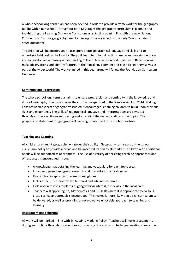A whole school long-term plan has been devised in order to provide a framework for the geography taught within our school. Throughout both Key stages the geography curriculum is planned and taught using the Learning Challenge Curriculum as a starting point in line with the new National Curriculum 2014. The geography taught in Reception is governed by the Early Years Foundation Stage document.

The children will be encouraged to use appropriate geographical language and skills and to undertake fieldwork in the locality. They will learn to follow directions, make and use simple maps and to develop an increasing understanding of their place in the world. Children in Reception will make observations and identify features in their local environment and begin to see themselves as part of the wider world. The work planned in this year group will follow the Foundation Curriculum Guidance.

# Continuity and Progression

The whole school long term plan aims to ensure progression and continuity in the knowledge and skills of geography. The topics cover the curriculum specified in the New Curriculum 2014. Making links between aspects of geography studied is encouraged, enabling children to build upon previous skills and experience. The skills of geographical language and interpretations are revisited throughout the Key Stages reinforcing and extending the understanding of the pupils. The progression statement for geographical learning is published on our school website.

#### Teaching and Learning

All children are taught geography, whatever their ability. Geography forms part of the school curriculum policy to provide a broad and balanced education to all children. Children with additional needs will be supported as appropriate. The use of a variety of enriching teaching approaches and of resources is encouraged through:

- A knowledge mat detailing the learning and vocabulary for each topic area.
- Individual, paired and group research and presentation opportunities.
- Use of photographs, pictures maps and globes.
- Inclusion of ICT-interactive white board and internet resources.
- Fieldwork and visits to places of geographical interest, especially in the local area.
- Teachers will apply English, Mathematics and ICT skills where it is appropriate to do so. A cross-curricular approach is encouraged. This makes it more likely that a rich curriculum can be delivered, as well as providing a more creative enjoyable approach to teaching and learning.

#### Assessment and reporting

All work will be marked in line with St. Austin's Marking Policy. Teachers will make assessments during lesson time through observations and marking. Pre and post challenge question sheets may